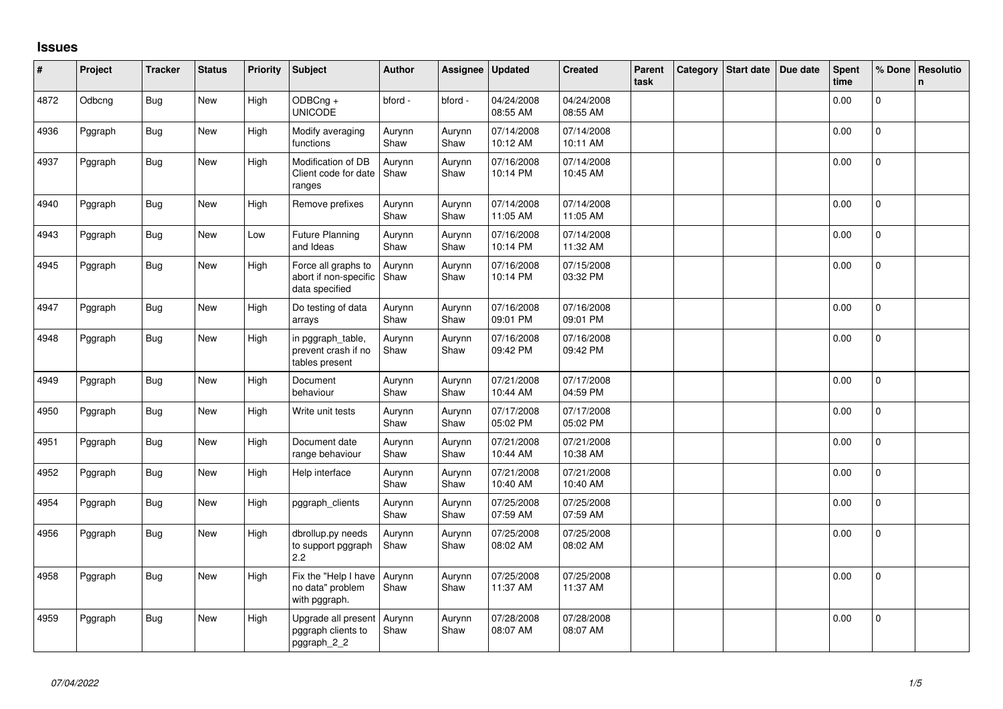## **Issues**

| #    | Project | <b>Tracker</b> | <b>Status</b> | <b>Priority</b> | <b>Subject</b>                                                 | <b>Author</b>  | Assignee       | <b>Updated</b>         | <b>Created</b>         | Parent<br>task | Category | Start date | Due date | Spent<br>time | % Done         | Resolutio<br>$\mathsf{n}$ |
|------|---------|----------------|---------------|-----------------|----------------------------------------------------------------|----------------|----------------|------------------------|------------------------|----------------|----------|------------|----------|---------------|----------------|---------------------------|
| 4872 | Odbcng  | <b>Bug</b>     | <b>New</b>    | High            | ODBCng +<br><b>UNICODE</b>                                     | bford -        | bford -        | 04/24/2008<br>08:55 AM | 04/24/2008<br>08:55 AM |                |          |            |          | 0.00          | $\Omega$       |                           |
| 4936 | Pggraph | Bug            | New           | High            | Modify averaging<br>functions                                  | Aurynn<br>Shaw | Aurynn<br>Shaw | 07/14/2008<br>10:12 AM | 07/14/2008<br>10:11 AM |                |          |            |          | 0.00          | $\mathbf 0$    |                           |
| 4937 | Pggraph | <b>Bug</b>     | New           | High            | Modification of DB<br>Client code for date<br>ranges           | Aurynn<br>Shaw | Aurynn<br>Shaw | 07/16/2008<br>10:14 PM | 07/14/2008<br>10:45 AM |                |          |            |          | 0.00          | $\mathbf{0}$   |                           |
| 4940 | Pggraph | Bug            | New           | High            | Remove prefixes                                                | Aurynn<br>Shaw | Aurynn<br>Shaw | 07/14/2008<br>11:05 AM | 07/14/2008<br>11:05 AM |                |          |            |          | 0.00          | $\mathbf{0}$   |                           |
| 4943 | Pggraph | Bug            | <b>New</b>    | Low             | <b>Future Planning</b><br>and Ideas                            | Aurynn<br>Shaw | Aurynn<br>Shaw | 07/16/2008<br>10:14 PM | 07/14/2008<br>11:32 AM |                |          |            |          | 0.00          | 0              |                           |
| 4945 | Pggraph | Bug            | New           | High            | Force all graphs to<br>abort if non-specific<br>data specified | Aurynn<br>Shaw | Aurynn<br>Shaw | 07/16/2008<br>10:14 PM | 07/15/2008<br>03:32 PM |                |          |            |          | 0.00          | $\Omega$       |                           |
| 4947 | Pggraph | <b>Bug</b>     | <b>New</b>    | High            | Do testing of data<br>arrays                                   | Aurynn<br>Shaw | Aurynn<br>Shaw | 07/16/2008<br>09:01 PM | 07/16/2008<br>09:01 PM |                |          |            |          | 0.00          | $\Omega$       |                           |
| 4948 | Pggraph | <b>Bug</b>     | <b>New</b>    | High            | in pggraph_table,<br>prevent crash if no<br>tables present     | Aurynn<br>Shaw | Aurynn<br>Shaw | 07/16/2008<br>09:42 PM | 07/16/2008<br>09:42 PM |                |          |            |          | 0.00          | $\mathbf{0}$   |                           |
| 4949 | Pggraph | Bug            | New           | High            | Document<br>behaviour                                          | Aurynn<br>Shaw | Aurynn<br>Shaw | 07/21/2008<br>10:44 AM | 07/17/2008<br>04:59 PM |                |          |            |          | 0.00          | $\mathbf 0$    |                           |
| 4950 | Pggraph | Bug            | <b>New</b>    | High            | Write unit tests                                               | Aurynn<br>Shaw | Aurynn<br>Shaw | 07/17/2008<br>05:02 PM | 07/17/2008<br>05:02 PM |                |          |            |          | 0.00          | $\mathbf 0$    |                           |
| 4951 | Pggraph | <b>Bug</b>     | New           | High            | Document date<br>range behaviour                               | Aurynn<br>Shaw | Aurynn<br>Shaw | 07/21/2008<br>10:44 AM | 07/21/2008<br>10:38 AM |                |          |            |          | 0.00          | 0              |                           |
| 4952 | Pggraph | Bug            | New           | High            | Help interface                                                 | Aurynn<br>Shaw | Aurynn<br>Shaw | 07/21/2008<br>10:40 AM | 07/21/2008<br>10:40 AM |                |          |            |          | 0.00          | $\mathbf{0}$   |                           |
| 4954 | Pggraph | Bug            | New           | High            | pggraph_clients                                                | Aurynn<br>Shaw | Aurynn<br>Shaw | 07/25/2008<br>07:59 AM | 07/25/2008<br>07:59 AM |                |          |            |          | 0.00          | $\overline{0}$ |                           |
| 4956 | Pggraph | Bug            | New           | High            | dbrollup.py needs<br>to support pggraph<br>$2.2\phantom{0}$    | Aurynn<br>Shaw | Aurynn<br>Shaw | 07/25/2008<br>08:02 AM | 07/25/2008<br>08:02 AM |                |          |            |          | 0.00          | $\overline{0}$ |                           |
| 4958 | Pggraph | <b>Bug</b>     | New           | High            | Fix the "Help I have<br>no data" problem<br>with pggraph.      | Aurynn<br>Shaw | Aurynn<br>Shaw | 07/25/2008<br>11:37 AM | 07/25/2008<br>11:37 AM |                |          |            |          | 0.00          | 0              |                           |
| 4959 | Pggraph | <b>Bug</b>     | New           | High            | Upgrade all present<br>pggraph clients to<br>pggraph_2_2       | Aurynn<br>Shaw | Aurynn<br>Shaw | 07/28/2008<br>08:07 AM | 07/28/2008<br>08:07 AM |                |          |            |          | 0.00          | $\mathbf{0}$   |                           |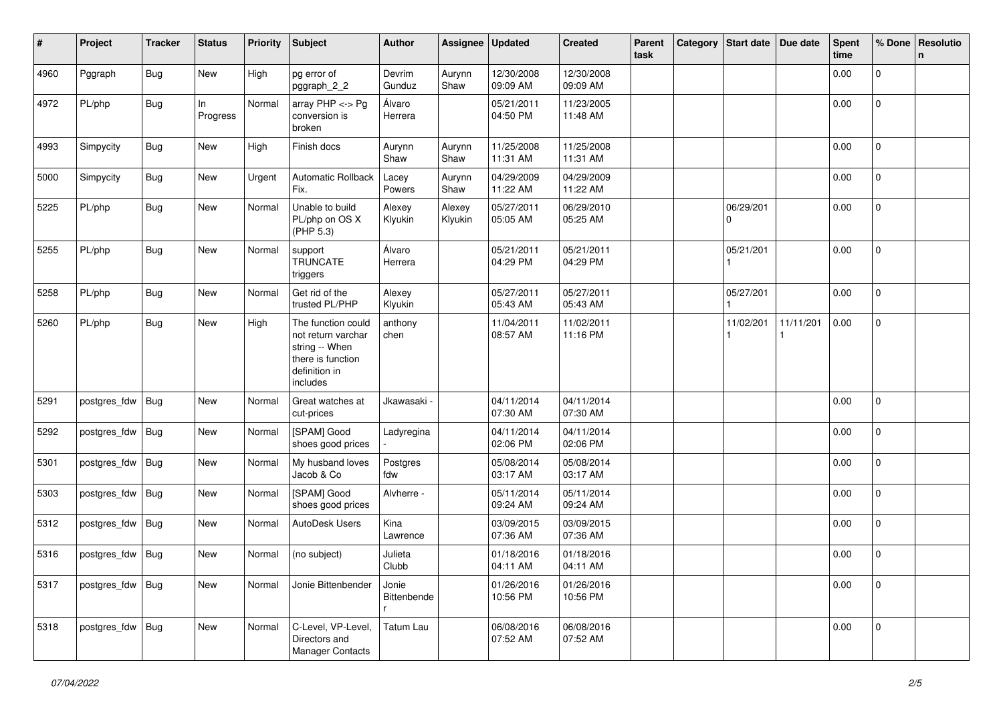| #    | Project            | Tracker    | <b>Status</b>  | <b>Priority</b> | <b>Subject</b>                                                                                               | <b>Author</b>        | Assignee          | <b>Updated</b>         | <b>Created</b>         | Parent<br>task | Category Start date | Due date  | <b>Spent</b><br>time | % Done       | Resolutio<br>n |
|------|--------------------|------------|----------------|-----------------|--------------------------------------------------------------------------------------------------------------|----------------------|-------------------|------------------------|------------------------|----------------|---------------------|-----------|----------------------|--------------|----------------|
| 4960 | Pggraph            | Bug        | New            | High            | pg error of<br>pggraph_2_2                                                                                   | Devrim<br>Gunduz     | Aurynn<br>Shaw    | 12/30/2008<br>09:09 AM | 12/30/2008<br>09:09 AM |                |                     |           | 0.00                 | $\mathsf{O}$ |                |
| 4972 | PL/php             | Bug        | In<br>Progress | Normal          | array $PHP \lt\gt Pg$<br>conversion is<br>broken                                                             | Álvaro<br>Herrera    |                   | 05/21/2011<br>04:50 PM | 11/23/2005<br>11:48 AM |                |                     |           | 0.00                 | $\mathbf{0}$ |                |
| 4993 | Simpycity          | <b>Bug</b> | New            | High            | Finish docs                                                                                                  | Aurynn<br>Shaw       | Aurynn<br>Shaw    | 11/25/2008<br>11:31 AM | 11/25/2008<br>11:31 AM |                |                     |           | 0.00                 | $\mathbf{0}$ |                |
| 5000 | Simpycity          | <b>Bug</b> | New            | Urgent          | <b>Automatic Rollback</b><br>Fix.                                                                            | Lacey<br>Powers      | Aurynn<br>Shaw    | 04/29/2009<br>11:22 AM | 04/29/2009<br>11:22 AM |                |                     |           | 0.00                 | 0            |                |
| 5225 | PL/php             | <b>Bug</b> | New            | Normal          | Unable to build<br>PL/php on OS X<br>(PHP 5.3)                                                               | Alexey<br>Klyukin    | Alexey<br>Klyukin | 05/27/2011<br>05:05 AM | 06/29/2010<br>05:25 AM |                | 06/29/201<br>0      |           | 0.00                 | $\mathsf{O}$ |                |
| 5255 | PL/php             | Bug        | New            | Normal          | support<br><b>TRUNCATE</b><br>triggers                                                                       | Álvaro<br>Herrera    |                   | 05/21/2011<br>04:29 PM | 05/21/2011<br>04:29 PM |                | 05/21/201           |           | 0.00                 | $\mathsf{O}$ |                |
| 5258 | PL/php             | <b>Bug</b> | New            | Normal          | Get rid of the<br>trusted PL/PHP                                                                             | Alexey<br>Klyukin    |                   | 05/27/2011<br>05:43 AM | 05/27/2011<br>05:43 AM |                | 05/27/201           |           | 0.00                 | $\mathbf 0$  |                |
| 5260 | PL/php             | Bug        | New            | High            | The function could<br>not return varchar<br>string -- When<br>there is function<br>definition in<br>includes | anthony<br>chen      |                   | 11/04/2011<br>08:57 AM | 11/02/2011<br>11:16 PM |                | 11/02/201           | 11/11/201 | 0.00                 | $\pmb{0}$    |                |
| 5291 | postgres_fdw       | Bug        | New            | Normal          | Great watches at<br>cut-prices                                                                               | Jkawasaki            |                   | 04/11/2014<br>07:30 AM | 04/11/2014<br>07:30 AM |                |                     |           | 0.00                 | $\pmb{0}$    |                |
| 5292 | postgres_fdw       | Bug        | <b>New</b>     | Normal          | [SPAM] Good<br>shoes good prices                                                                             | Ladyregina           |                   | 04/11/2014<br>02:06 PM | 04/11/2014<br>02:06 PM |                |                     |           | 0.00                 | $\mathbf 0$  |                |
| 5301 | postgres_fdw       | <b>Bug</b> | New            | Normal          | My husband loves<br>Jacob & Co                                                                               | Postgres<br>fdw      |                   | 05/08/2014<br>03:17 AM | 05/08/2014<br>03:17 AM |                |                     |           | 0.00                 | 0            |                |
| 5303 | postgres_fdw       | Bug        | New            | Normal          | [SPAM] Good<br>shoes good prices                                                                             | Alvherre -           |                   | 05/11/2014<br>09:24 AM | 05/11/2014<br>09:24 AM |                |                     |           | 0.00                 | 0            |                |
| 5312 | postgres_fdw       | <b>Bug</b> | New            | Normal          | AutoDesk Users                                                                                               | Kina<br>Lawrence     |                   | 03/09/2015<br>07:36 AM | 03/09/2015<br>07:36 AM |                |                     |           | 0.00                 | $\mathbf{0}$ |                |
| 5316 | postgres_fdw Bug   |            | New            | Normal          | (no subject)                                                                                                 | Julieta<br>Clubb     |                   | 01/18/2016<br>04:11 AM | 01/18/2016<br>04:11 AM |                |                     |           | 0.00                 | $\mathbf 0$  |                |
| 5317 | postgres_fdw   Bug |            | New            | Normal          | Jonie Bittenbender                                                                                           | Jonie<br>Bittenbende |                   | 01/26/2016<br>10:56 PM | 01/26/2016<br>10:56 PM |                |                     |           | 0.00                 | $\mathbf 0$  |                |
| 5318 | postgres_fdw   Bug |            | New            | Normal          | C-Level, VP-Level,<br>Directors and<br>Manager Contacts                                                      | Tatum Lau            |                   | 06/08/2016<br>07:52 AM | 06/08/2016<br>07:52 AM |                |                     |           | 0.00                 | $\mathbf 0$  |                |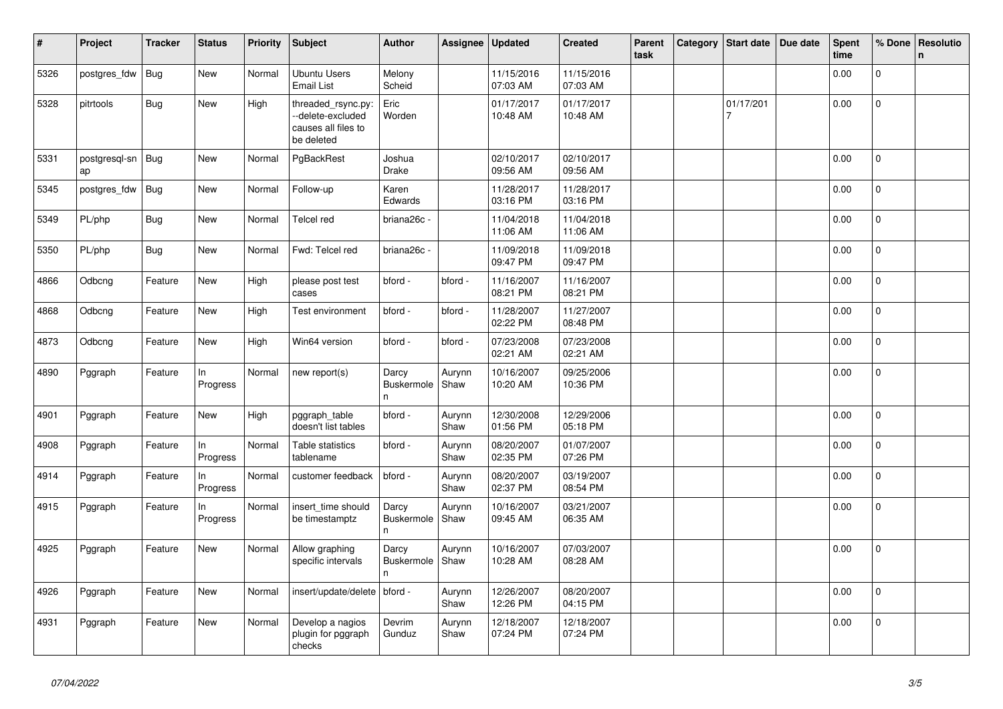| $\vert$ # | Project             | <b>Tracker</b> | <b>Status</b>  | Priority | Subject                                                                     | <b>Author</b>                    | Assignee       | <b>Updated</b>         | <b>Created</b>         | Parent<br>task | Category | Start date     | Due date | <b>Spent</b><br>time | % Done         | Resolutio<br>$\mathsf{n}$ |
|-----------|---------------------|----------------|----------------|----------|-----------------------------------------------------------------------------|----------------------------------|----------------|------------------------|------------------------|----------------|----------|----------------|----------|----------------------|----------------|---------------------------|
| 5326      | postgres_fdw        | <b>Bug</b>     | New            | Normal   | <b>Ubuntu Users</b><br><b>Email List</b>                                    | Melony<br>Scheid                 |                | 11/15/2016<br>07:03 AM | 11/15/2016<br>07:03 AM |                |          |                |          | 0.00                 | $\Omega$       |                           |
| 5328      | pitrtools           | Bug            | <b>New</b>     | High     | threaded_rsync.py:<br>-delete-excluded<br>causes all files to<br>be deleted | Eric<br>Worden                   |                | 01/17/2017<br>10:48 AM | 01/17/2017<br>10:48 AM |                |          | 01/17/201<br>7 |          | 0.00                 | $\mathsf{O}$   |                           |
| 5331      | postgresql-sn<br>ap | <b>Bug</b>     | <b>New</b>     | Normal   | PgBackRest                                                                  | Joshua<br>Drake                  |                | 02/10/2017<br>09:56 AM | 02/10/2017<br>09:56 AM |                |          |                |          | 0.00                 | $\Omega$       |                           |
| 5345      | postgres_fdw        | <b>Bug</b>     | New            | Normal   | Follow-up                                                                   | Karen<br>Edwards                 |                | 11/28/2017<br>03:16 PM | 11/28/2017<br>03:16 PM |                |          |                |          | 0.00                 | $\mathbf{0}$   |                           |
| 5349      | PL/php              | Bug            | New            | Normal   | Telcel red                                                                  | briana26c -                      |                | 11/04/2018<br>11:06 AM | 11/04/2018<br>11:06 AM |                |          |                |          | 0.00                 | $\overline{0}$ |                           |
| 5350      | PL/php              | Bug            | <b>New</b>     | Normal   | Fwd: Telcel red                                                             | briana26c -                      |                | 11/09/2018<br>09:47 PM | 11/09/2018<br>09:47 PM |                |          |                |          | 0.00                 | $\overline{0}$ |                           |
| 4866      | Odbcng              | Feature        | New            | High     | please post test<br>cases                                                   | bford -                          | bford -        | 11/16/2007<br>08:21 PM | 11/16/2007<br>08:21 PM |                |          |                |          | 0.00                 | $\Omega$       |                           |
| 4868      | Odbcng              | Feature        | New            | High     | Test environment                                                            | bford -                          | bford -        | 11/28/2007<br>02:22 PM | 11/27/2007<br>08:48 PM |                |          |                |          | 0.00                 | $\overline{0}$ |                           |
| 4873      | Odbcng              | Feature        | New            | High     | Win64 version                                                               | bford -                          | bford -        | 07/23/2008<br>02:21 AM | 07/23/2008<br>02:21 AM |                |          |                |          | 0.00                 | 0              |                           |
| 4890      | Pggraph             | Feature        | In<br>Progress | Normal   | new report(s)                                                               | Darcy<br>Buskermole<br>n         | Aurynn<br>Shaw | 10/16/2007<br>10:20 AM | 09/25/2006<br>10:36 PM |                |          |                |          | 0.00                 | $\Omega$       |                           |
| 4901      | Pggraph             | Feature        | New            | High     | pggraph_table<br>doesn't list tables                                        | bford -                          | Aurynn<br>Shaw | 12/30/2008<br>01:56 PM | 12/29/2006<br>05:18 PM |                |          |                |          | 0.00                 | $\Omega$       |                           |
| 4908      | Pggraph             | Feature        | In<br>Progress | Normal   | Table statistics<br>tablename                                               | bford -                          | Aurynn<br>Shaw | 08/20/2007<br>02:35 PM | 01/07/2007<br>07:26 PM |                |          |                |          | 0.00                 | $\mathbf 0$    |                           |
| 4914      | Pggraph             | Feature        | In<br>Progress | Normal   | customer feedback                                                           | bford -                          | Aurynn<br>Shaw | 08/20/2007<br>02:37 PM | 03/19/2007<br>08:54 PM |                |          |                |          | 0.00                 | $\overline{0}$ |                           |
| 4915      | Pggraph             | Feature        | In<br>Progress | Normal   | insert_time should<br>be timestamptz                                        | Darcy<br><b>Buskermole</b><br>n  | Aurynn<br>Shaw | 10/16/2007<br>09:45 AM | 03/21/2007<br>06:35 AM |                |          |                |          | 0.00                 | 0              |                           |
| 4925      | Pggraph             | Feature        | New            | Normal   | Allow graphing<br>specific intervals                                        | Darcy<br><b>Buskermole</b><br>n. | Aurynn<br>Shaw | 10/16/2007<br>10:28 AM | 07/03/2007<br>08:28 AM |                |          |                |          | 0.00                 | $\Omega$       |                           |
| 4926      | Pggraph             | Feature        | New            | Normal   | insert/update/delete                                                        | bford -                          | Aurynn<br>Shaw | 12/26/2007<br>12:26 PM | 08/20/2007<br>04:15 PM |                |          |                |          | 0.00                 | $\overline{0}$ |                           |
| 4931      | Pggraph             | Feature        | New            | Normal   | Develop a nagios<br>plugin for pggraph<br>checks                            | Devrim<br>Gunduz                 | Aurynn<br>Shaw | 12/18/2007<br>07:24 PM | 12/18/2007<br>07:24 PM |                |          |                |          | 0.00                 | $\Omega$       |                           |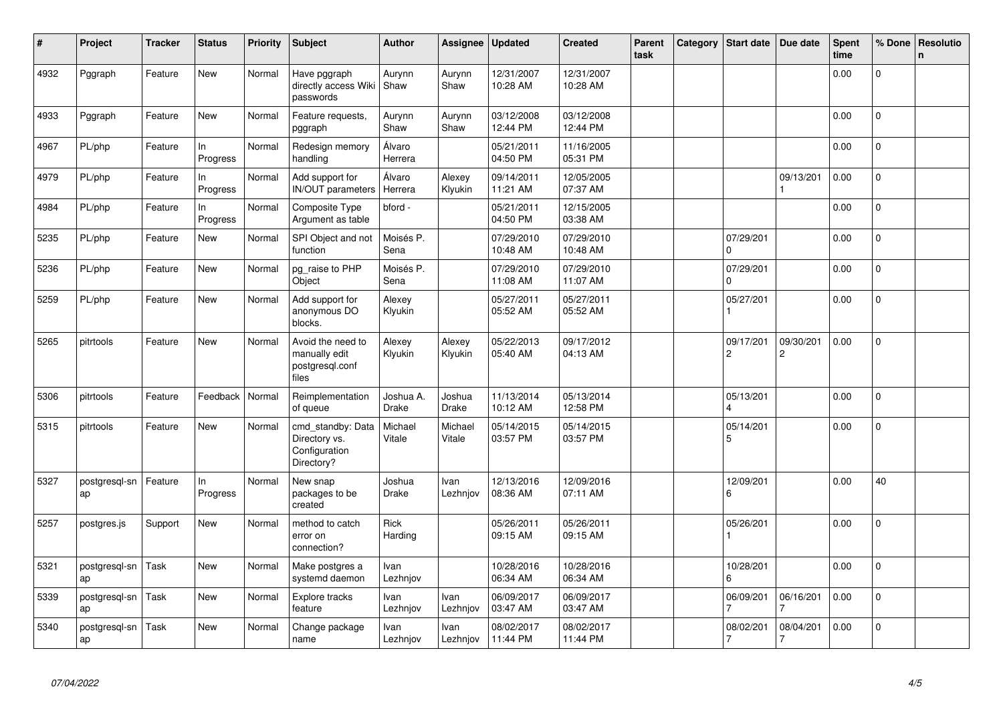| #    | Project             | <b>Tracker</b> | <b>Status</b>   | Priority | Subject                                                           | Author                    | Assignee          | <b>Updated</b>         | <b>Created</b>         | Parent<br>task | Category | <b>Start date</b>                   | Due date       | Spent<br>time | % Done         | Resolutio<br>$\mathsf{n}$ |
|------|---------------------|----------------|-----------------|----------|-------------------------------------------------------------------|---------------------------|-------------------|------------------------|------------------------|----------------|----------|-------------------------------------|----------------|---------------|----------------|---------------------------|
| 4932 | Pggraph             | Feature        | New             | Normal   | Have pggraph<br>directly access Wiki<br>passwords                 | Aurynn<br>Shaw            | Aurynn<br>Shaw    | 12/31/2007<br>10:28 AM | 12/31/2007<br>10:28 AM |                |          |                                     |                | 0.00          | 0              |                           |
| 4933 | Pggraph             | Feature        | New             | Normal   | Feature requests,<br>pggraph                                      | Aurynn<br>Shaw            | Aurynn<br>Shaw    | 03/12/2008<br>12:44 PM | 03/12/2008<br>12:44 PM |                |          |                                     |                | 0.00          | 0              |                           |
| 4967 | PL/php              | Feature        | In<br>Progress  | Normal   | Redesign memory<br>handling                                       | Álvaro<br>Herrera         |                   | 05/21/2011<br>04:50 PM | 11/16/2005<br>05:31 PM |                |          |                                     |                | 0.00          | $\mathbf 0$    |                           |
| 4979 | PL/php              | Feature        | ln.<br>Progress | Normal   | Add support for<br><b>IN/OUT</b> parameters                       | Álvaro<br>Herrera         | Alexey<br>Klyukin | 09/14/2011<br>11:21 AM | 12/05/2005<br>07:37 AM |                |          |                                     | 09/13/201      | 0.00          | 0              |                           |
| 4984 | PL/php              | Feature        | In<br>Progress  | Normal   | Composite Type<br>Argument as table                               | bford -                   |                   | 05/21/2011<br>04:50 PM | 12/15/2005<br>03:38 AM |                |          |                                     |                | 0.00          | 0              |                           |
| 5235 | PL/php              | Feature        | New             | Normal   | SPI Object and not<br>function                                    | Moisés P.<br>Sena         |                   | 07/29/2010<br>10:48 AM | 07/29/2010<br>10:48 AM |                |          | 07/29/201<br>$\Omega$               |                | 0.00          | $\overline{0}$ |                           |
| 5236 | PL/php              | Feature        | New             | Normal   | pg_raise to PHP<br>Object                                         | Moisés P.<br>Sena         |                   | 07/29/2010<br>11:08 AM | 07/29/2010<br>11:07 AM |                |          | 07/29/201<br><sup>0</sup>           |                | 0.00          | $\mathbf{0}$   |                           |
| 5259 | PL/php              | Feature        | <b>New</b>      | Normal   | Add support for<br>anonymous DO<br>blocks.                        | Alexey<br>Klyukin         |                   | 05/27/2011<br>05:52 AM | 05/27/2011<br>05:52 AM |                |          | 05/27/201                           |                | 0.00          | $\overline{0}$ |                           |
| 5265 | pitrtools           | Feature        | <b>New</b>      | Normal   | Avoid the need to<br>manually edit<br>postgresgl.conf<br>files    | Alexey<br>Klyukin         | Alexey<br>Klyukin | 05/22/2013<br>05:40 AM | 09/17/2012<br>04:13 AM |                |          | 09/17/201<br>$\mathbf{2}$           | 09/30/201<br>2 | 0.00          | 0              |                           |
| 5306 | pitrtools           | Feature        | Feedback        | Normal   | Reimplementation<br>of queue                                      | Joshua A.<br><b>Drake</b> | Joshua<br>Drake   | 11/13/2014<br>10:12 AM | 05/13/2014<br>12:58 PM |                |          | 05/13/201<br>$\boldsymbol{\Lambda}$ |                | 0.00          | $\overline{0}$ |                           |
| 5315 | pitrtools           | Feature        | <b>New</b>      | Normal   | cmd_standby: Data<br>Directory vs.<br>Configuration<br>Directory? | Michael<br>Vitale         | Michael<br>Vitale | 05/14/2015<br>03:57 PM | 05/14/2015<br>03:57 PM |                |          | 05/14/201<br>5                      |                | 0.00          | $\mathbf{0}$   |                           |
| 5327 | postgresql-sn<br>ap | Feature        | In<br>Progress  | Normal   | New snap<br>packages to be<br>created                             | Joshua<br>Drake           | Ivan<br>Lezhnjov  | 12/13/2016<br>08:36 AM | 12/09/2016<br>07:11 AM |                |          | 12/09/201<br>6                      |                | 0.00          | 40             |                           |
| 5257 | postgres.js         | Support        | New             | Normal   | method to catch<br>error on<br>connection?                        | Rick<br>Harding           |                   | 05/26/2011<br>09:15 AM | 05/26/2011<br>09:15 AM |                |          | 05/26/201                           |                | 0.00          | $\overline{0}$ |                           |
| 5321 | postgresql-sn<br>ap | Task           | New             | Normal   | Make postgres a<br>systemd daemon                                 | Ivan<br>Lezhnjov          |                   | 10/28/2016<br>06:34 AM | 10/28/2016<br>06:34 AM |                |          | 10/28/201<br>6                      |                | 0.00          | $\mathbf 0$    |                           |
| 5339 | postgresql-sn<br>ap | Task           | New             | Normal   | Explore tracks<br>feature                                         | Ivan<br>Lezhnjov          | Ivan<br>Lezhnjov  | 06/09/2017<br>03:47 AM | 06/09/2017<br>03:47 AM |                |          | 06/09/201                           | 06/16/201      | 0.00          | 0              |                           |
| 5340 | postgresql-sn<br>ap | Task           | New             | Normal   | Change package<br>name                                            | Ivan<br>Lezhnjov          | Ivan<br>Lezhnjov  | 08/02/2017<br>11:44 PM | 08/02/2017<br>11:44 PM |                |          | 08/02/201                           | 08/04/201<br>7 | 0.00          | $\overline{0}$ |                           |